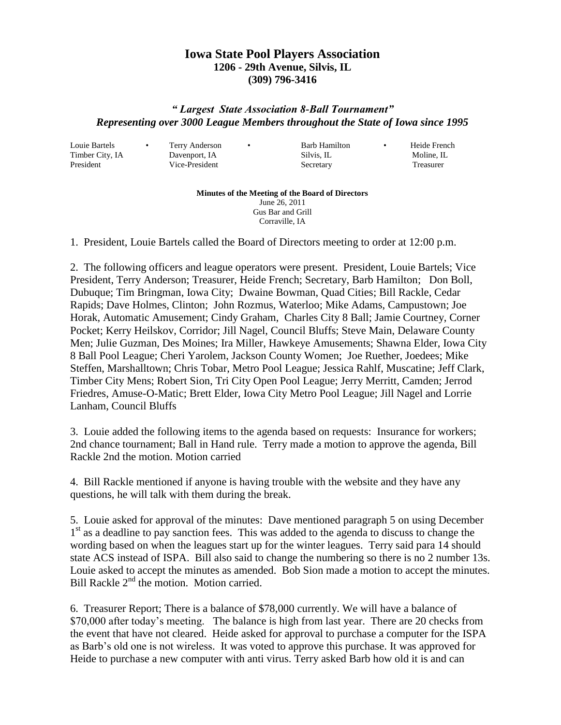## **Iowa State Pool Players Association 1206 - 29th Avenue, Silvis, IL (309) 796-3416**

## *" Largest State Association 8-Ball Tournament" Representing over 3000 League Members throughout the State of Iowa since 1995*

Louie Bartels • Terry Anderson • Barb Hamilton • Heide French

Timber City, IA Davenport, IA Silvis, IL Moline, IL President Vice-President Secretary Treasurer

**Minutes of the Meeting of the Board of Directors** June 26, 2011 Gus Bar and Grill Corraville, IA

1. President, Louie Bartels called the Board of Directors meeting to order at 12:00 p.m.

2. The following officers and league operators were present. President, Louie Bartels; Vice President, Terry Anderson; Treasurer, Heide French; Secretary, Barb Hamilton; Don Boll, Dubuque; Tim Bringman, Iowa City; Dwaine Bowman, Quad Cities; Bill Rackle, Cedar Rapids; Dave Holmes, Clinton; John Rozmus, Waterloo; Mike Adams, Campustown; Joe Horak, Automatic Amusement; Cindy Graham, Charles City 8 Ball; Jamie Courtney, Corner Pocket; Kerry Heilskov, Corridor; Jill Nagel, Council Bluffs; Steve Main, Delaware County Men; Julie Guzman, Des Moines; Ira Miller, Hawkeye Amusements; Shawna Elder, Iowa City 8 Ball Pool League; Cheri Yarolem, Jackson County Women; Joe Ruether, Joedees; Mike Steffen, Marshalltown; Chris Tobar, Metro Pool League; Jessica Rahlf, Muscatine; Jeff Clark, Timber City Mens; Robert Sion, Tri City Open Pool League; Jerry Merritt, Camden; Jerrod Friedres, Amuse-O-Matic; Brett Elder, Iowa City Metro Pool League; Jill Nagel and Lorrie Lanham, Council Bluffs

3. Louie added the following items to the agenda based on requests: Insurance for workers; 2nd chance tournament; Ball in Hand rule. Terry made a motion to approve the agenda, Bill Rackle 2nd the motion. Motion carried

4. Bill Rackle mentioned if anyone is having trouble with the website and they have any questions, he will talk with them during the break.

5. Louie asked for approval of the minutes: Dave mentioned paragraph 5 on using December 1<sup>st</sup> as a deadline to pay sanction fees. This was added to the agenda to discuss to change the wording based on when the leagues start up for the winter leagues. Terry said para 14 should state ACS instead of ISPA. Bill also said to change the numbering so there is no 2 number 13s. Louie asked to accept the minutes as amended. Bob Sion made a motion to accept the minutes. Bill Rackle  $2<sup>nd</sup>$  the motion. Motion carried.

6. Treasurer Report; There is a balance of \$78,000 currently. We will have a balance of \$70,000 after today's meeting. The balance is high from last year. There are 20 checks from the event that have not cleared. Heide asked for approval to purchase a computer for the ISPA as Barb's old one is not wireless. It was voted to approve this purchase. It was approved for Heide to purchase a new computer with anti virus. Terry asked Barb how old it is and can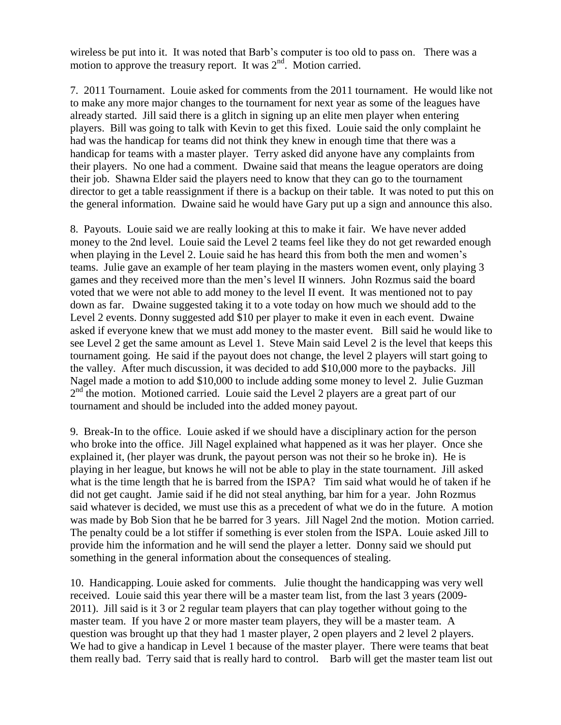wireless be put into it. It was noted that Barb's computer is too old to pass on. There was a motion to approve the treasury report. It was  $2<sup>nd</sup>$ . Motion carried.

7. 2011 Tournament. Louie asked for comments from the 2011 tournament. He would like not to make any more major changes to the tournament for next year as some of the leagues have already started. Jill said there is a glitch in signing up an elite men player when entering players. Bill was going to talk with Kevin to get this fixed. Louie said the only complaint he had was the handicap for teams did not think they knew in enough time that there was a handicap for teams with a master player. Terry asked did anyone have any complaints from their players. No one had a comment. Dwaine said that means the league operators are doing their job. Shawna Elder said the players need to know that they can go to the tournament director to get a table reassignment if there is a backup on their table. It was noted to put this on the general information. Dwaine said he would have Gary put up a sign and announce this also.

8. Payouts. Louie said we are really looking at this to make it fair. We have never added money to the 2nd level. Louie said the Level 2 teams feel like they do not get rewarded enough when playing in the Level 2. Louie said he has heard this from both the men and women's teams. Julie gave an example of her team playing in the masters women event, only playing 3 games and they received more than the men's level II winners. John Rozmus said the board voted that we were not able to add money to the level II event. It was mentioned not to pay down as far. Dwaine suggested taking it to a vote today on how much we should add to the Level 2 events. Donny suggested add \$10 per player to make it even in each event. Dwaine asked if everyone knew that we must add money to the master event. Bill said he would like to see Level 2 get the same amount as Level 1. Steve Main said Level 2 is the level that keeps this tournament going. He said if the payout does not change, the level 2 players will start going to the valley. After much discussion, it was decided to add \$10,000 more to the paybacks. Jill Nagel made a motion to add \$10,000 to include adding some money to level 2. Julie Guzman 2<sup>nd</sup> the motion. Motioned carried. Louie said the Level 2 players are a great part of our tournament and should be included into the added money payout.

9. Break-In to the office. Louie asked if we should have a disciplinary action for the person who broke into the office. Jill Nagel explained what happened as it was her player. Once she explained it, (her player was drunk, the payout person was not their so he broke in). He is playing in her league, but knows he will not be able to play in the state tournament. Jill asked what is the time length that he is barred from the ISPA? Tim said what would he of taken if he did not get caught. Jamie said if he did not steal anything, bar him for a year. John Rozmus said whatever is decided, we must use this as a precedent of what we do in the future. A motion was made by Bob Sion that he be barred for 3 years. Jill Nagel 2nd the motion. Motion carried. The penalty could be a lot stiffer if something is ever stolen from the ISPA. Louie asked Jill to provide him the information and he will send the player a letter. Donny said we should put something in the general information about the consequences of stealing.

10. Handicapping. Louie asked for comments. Julie thought the handicapping was very well received. Louie said this year there will be a master team list, from the last 3 years (2009- 2011). Jill said is it 3 or 2 regular team players that can play together without going to the master team. If you have 2 or more master team players, they will be a master team. A question was brought up that they had 1 master player, 2 open players and 2 level 2 players. We had to give a handicap in Level 1 because of the master player. There were teams that beat them really bad. Terry said that is really hard to control. Barb will get the master team list out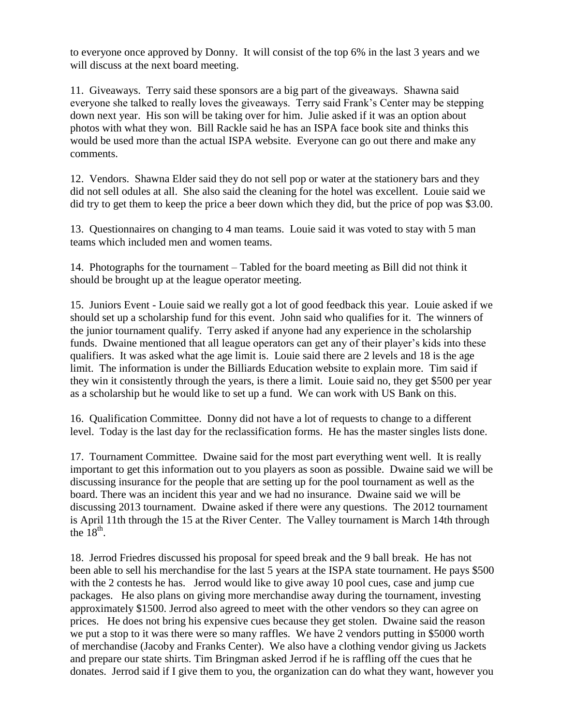to everyone once approved by Donny. It will consist of the top 6% in the last 3 years and we will discuss at the next board meeting.

11. Giveaways. Terry said these sponsors are a big part of the giveaways. Shawna said everyone she talked to really loves the giveaways. Terry said Frank's Center may be stepping down next year. His son will be taking over for him. Julie asked if it was an option about photos with what they won. Bill Rackle said he has an ISPA face book site and thinks this would be used more than the actual ISPA website. Everyone can go out there and make any comments.

12. Vendors. Shawna Elder said they do not sell pop or water at the stationery bars and they did not sell odules at all. She also said the cleaning for the hotel was excellent. Louie said we did try to get them to keep the price a beer down which they did, but the price of pop was \$3.00.

13. Questionnaires on changing to 4 man teams. Louie said it was voted to stay with 5 man teams which included men and women teams.

14. Photographs for the tournament – Tabled for the board meeting as Bill did not think it should be brought up at the league operator meeting.

15. Juniors Event - Louie said we really got a lot of good feedback this year. Louie asked if we should set up a scholarship fund for this event. John said who qualifies for it. The winners of the junior tournament qualify. Terry asked if anyone had any experience in the scholarship funds. Dwaine mentioned that all league operators can get any of their player's kids into these qualifiers. It was asked what the age limit is. Louie said there are 2 levels and 18 is the age limit. The information is under the Billiards Education website to explain more. Tim said if they win it consistently through the years, is there a limit. Louie said no, they get \$500 per year as a scholarship but he would like to set up a fund. We can work with US Bank on this.

16. Qualification Committee. Donny did not have a lot of requests to change to a different level. Today is the last day for the reclassification forms. He has the master singles lists done.

17. Tournament Committee. Dwaine said for the most part everything went well. It is really important to get this information out to you players as soon as possible. Dwaine said we will be discussing insurance for the people that are setting up for the pool tournament as well as the board. There was an incident this year and we had no insurance. Dwaine said we will be discussing 2013 tournament. Dwaine asked if there were any questions. The 2012 tournament is April 11th through the 15 at the River Center. The Valley tournament is March 14th through the  $18^{th}$ .

18. Jerrod Friedres discussed his proposal for speed break and the 9 ball break. He has not been able to sell his merchandise for the last 5 years at the ISPA state tournament. He pays \$500 with the 2 contests he has. Jerrod would like to give away 10 pool cues, case and jump cue packages. He also plans on giving more merchandise away during the tournament, investing approximately \$1500. Jerrod also agreed to meet with the other vendors so they can agree on prices. He does not bring his expensive cues because they get stolen. Dwaine said the reason we put a stop to it was there were so many raffles. We have 2 vendors putting in \$5000 worth of merchandise (Jacoby and Franks Center). We also have a clothing vendor giving us Jackets and prepare our state shirts. Tim Bringman asked Jerrod if he is raffling off the cues that he donates. Jerrod said if I give them to you, the organization can do what they want, however you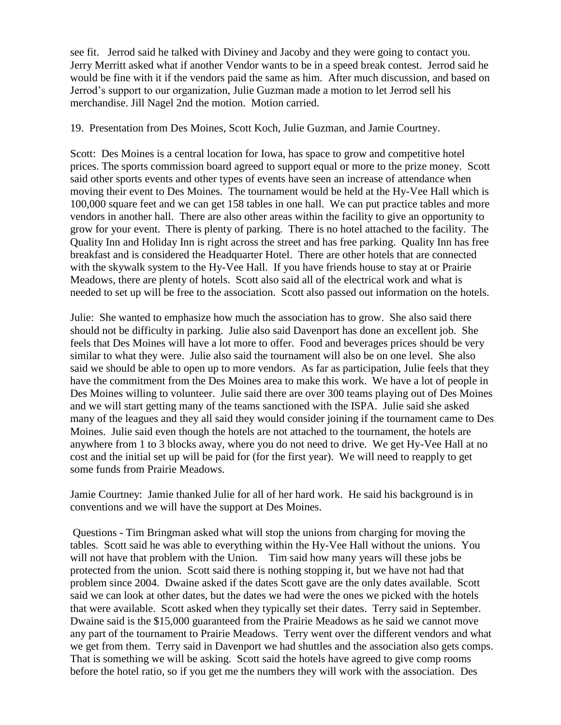see fit. Jerrod said he talked with Diviney and Jacoby and they were going to contact you. Jerry Merritt asked what if another Vendor wants to be in a speed break contest. Jerrod said he would be fine with it if the vendors paid the same as him. After much discussion, and based on Jerrod's support to our organization, Julie Guzman made a motion to let Jerrod sell his merchandise. Jill Nagel 2nd the motion. Motion carried.

19. Presentation from Des Moines, Scott Koch, Julie Guzman, and Jamie Courtney.

Scott: Des Moines is a central location for Iowa, has space to grow and competitive hotel prices. The sports commission board agreed to support equal or more to the prize money. Scott said other sports events and other types of events have seen an increase of attendance when moving their event to Des Moines. The tournament would be held at the Hy-Vee Hall which is 100,000 square feet and we can get 158 tables in one hall. We can put practice tables and more vendors in another hall. There are also other areas within the facility to give an opportunity to grow for your event. There is plenty of parking. There is no hotel attached to the facility. The Quality Inn and Holiday Inn is right across the street and has free parking. Quality Inn has free breakfast and is considered the Headquarter Hotel. There are other hotels that are connected with the skywalk system to the Hy-Vee Hall. If you have friends house to stay at or Prairie Meadows, there are plenty of hotels. Scott also said all of the electrical work and what is needed to set up will be free to the association. Scott also passed out information on the hotels.

Julie: She wanted to emphasize how much the association has to grow. She also said there should not be difficulty in parking. Julie also said Davenport has done an excellent job. She feels that Des Moines will have a lot more to offer. Food and beverages prices should be very similar to what they were. Julie also said the tournament will also be on one level. She also said we should be able to open up to more vendors. As far as participation, Julie feels that they have the commitment from the Des Moines area to make this work. We have a lot of people in Des Moines willing to volunteer. Julie said there are over 300 teams playing out of Des Moines and we will start getting many of the teams sanctioned with the ISPA. Julie said she asked many of the leagues and they all said they would consider joining if the tournament came to Des Moines. Julie said even though the hotels are not attached to the tournament, the hotels are anywhere from 1 to 3 blocks away, where you do not need to drive. We get Hy-Vee Hall at no cost and the initial set up will be paid for (for the first year). We will need to reapply to get some funds from Prairie Meadows.

Jamie Courtney: Jamie thanked Julie for all of her hard work. He said his background is in conventions and we will have the support at Des Moines.

Questions - Tim Bringman asked what will stop the unions from charging for moving the tables. Scott said he was able to everything within the Hy-Vee Hall without the unions. You will not have that problem with the Union. Tim said how many years will these jobs be protected from the union. Scott said there is nothing stopping it, but we have not had that problem since 2004. Dwaine asked if the dates Scott gave are the only dates available. Scott said we can look at other dates, but the dates we had were the ones we picked with the hotels that were available. Scott asked when they typically set their dates. Terry said in September. Dwaine said is the \$15,000 guaranteed from the Prairie Meadows as he said we cannot move any part of the tournament to Prairie Meadows. Terry went over the different vendors and what we get from them. Terry said in Davenport we had shuttles and the association also gets comps. That is something we will be asking. Scott said the hotels have agreed to give comp rooms before the hotel ratio, so if you get me the numbers they will work with the association. Des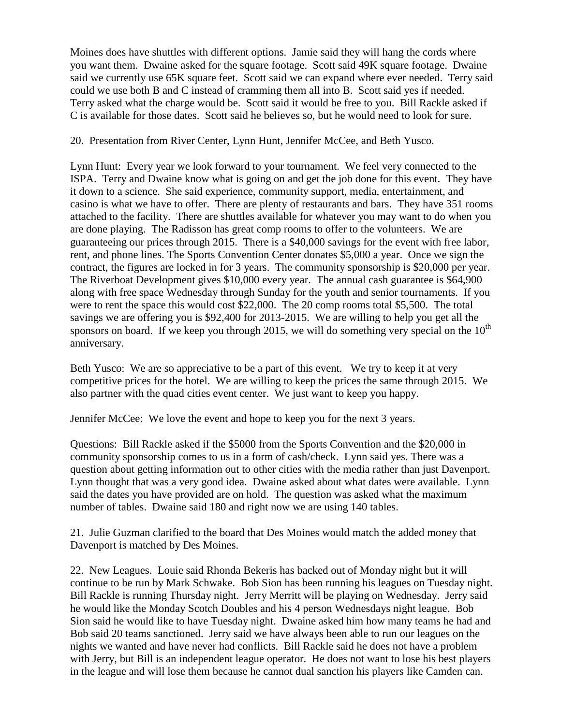Moines does have shuttles with different options. Jamie said they will hang the cords where you want them. Dwaine asked for the square footage. Scott said 49K square footage. Dwaine said we currently use 65K square feet. Scott said we can expand where ever needed. Terry said could we use both B and C instead of cramming them all into B. Scott said yes if needed. Terry asked what the charge would be. Scott said it would be free to you. Bill Rackle asked if C is available for those dates. Scott said he believes so, but he would need to look for sure.

## 20. Presentation from River Center, Lynn Hunt, Jennifer McCee, and Beth Yusco.

Lynn Hunt: Every year we look forward to your tournament. We feel very connected to the ISPA. Terry and Dwaine know what is going on and get the job done for this event. They have it down to a science. She said experience, community support, media, entertainment, and casino is what we have to offer. There are plenty of restaurants and bars. They have 351 rooms attached to the facility. There are shuttles available for whatever you may want to do when you are done playing. The Radisson has great comp rooms to offer to the volunteers. We are guaranteeing our prices through 2015. There is a \$40,000 savings for the event with free labor, rent, and phone lines. The Sports Convention Center donates \$5,000 a year. Once we sign the contract, the figures are locked in for 3 years. The community sponsorship is \$20,000 per year. The Riverboat Development gives \$10,000 every year. The annual cash guarantee is \$64,900 along with free space Wednesday through Sunday for the youth and senior tournaments. If you were to rent the space this would cost \$22,000. The 20 comp rooms total \$5,500. The total savings we are offering you is \$92,400 for 2013-2015. We are willing to help you get all the sponsors on board. If we keep you through 2015, we will do something very special on the  $10<sup>th</sup>$ anniversary.

Beth Yusco: We are so appreciative to be a part of this event. We try to keep it at very competitive prices for the hotel. We are willing to keep the prices the same through 2015. We also partner with the quad cities event center. We just want to keep you happy.

Jennifer McCee: We love the event and hope to keep you for the next 3 years.

Questions: Bill Rackle asked if the \$5000 from the Sports Convention and the \$20,000 in community sponsorship comes to us in a form of cash/check. Lynn said yes. There was a question about getting information out to other cities with the media rather than just Davenport. Lynn thought that was a very good idea. Dwaine asked about what dates were available. Lynn said the dates you have provided are on hold. The question was asked what the maximum number of tables. Dwaine said 180 and right now we are using 140 tables.

21. Julie Guzman clarified to the board that Des Moines would match the added money that Davenport is matched by Des Moines.

22. New Leagues. Louie said Rhonda Bekeris has backed out of Monday night but it will continue to be run by Mark Schwake. Bob Sion has been running his leagues on Tuesday night. Bill Rackle is running Thursday night. Jerry Merritt will be playing on Wednesday. Jerry said he would like the Monday Scotch Doubles and his 4 person Wednesdays night league. Bob Sion said he would like to have Tuesday night. Dwaine asked him how many teams he had and Bob said 20 teams sanctioned. Jerry said we have always been able to run our leagues on the nights we wanted and have never had conflicts. Bill Rackle said he does not have a problem with Jerry, but Bill is an independent league operator. He does not want to lose his best players in the league and will lose them because he cannot dual sanction his players like Camden can.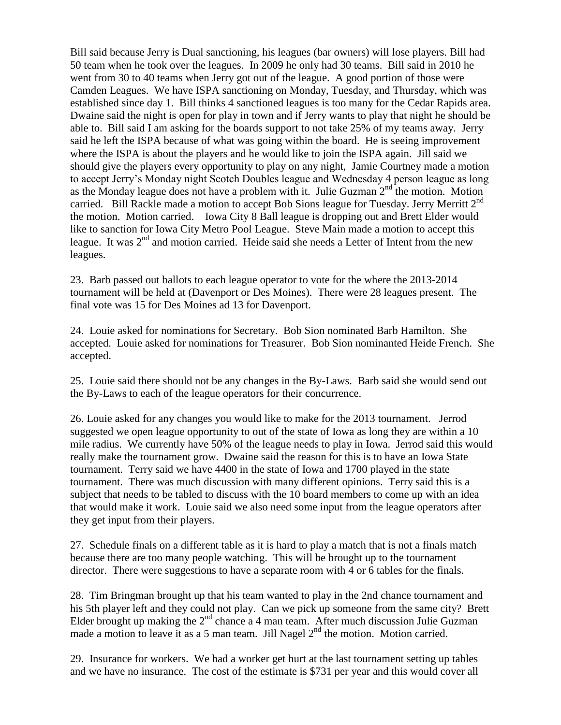Bill said because Jerry is Dual sanctioning, his leagues (bar owners) will lose players. Bill had 50 team when he took over the leagues. In 2009 he only had 30 teams. Bill said in 2010 he went from 30 to 40 teams when Jerry got out of the league. A good portion of those were Camden Leagues. We have ISPA sanctioning on Monday, Tuesday, and Thursday, which was established since day 1. Bill thinks 4 sanctioned leagues is too many for the Cedar Rapids area. Dwaine said the night is open for play in town and if Jerry wants to play that night he should be able to. Bill said I am asking for the boards support to not take 25% of my teams away. Jerry said he left the ISPA because of what was going within the board. He is seeing improvement where the ISPA is about the players and he would like to join the ISPA again. Jill said we should give the players every opportunity to play on any night, Jamie Courtney made a motion to accept Jerry's Monday night Scotch Doubles league and Wednesday 4 person league as long as the Monday league does not have a problem with it. Julie Guzman  $2<sup>nd</sup>$  the motion. Motion carried. Bill Rackle made a motion to accept Bob Sions league for Tuesday. Jerry Merritt  $2^{nd}$ the motion. Motion carried. Iowa City 8 Ball league is dropping out and Brett Elder would like to sanction for Iowa City Metro Pool League. Steve Main made a motion to accept this league. It was  $2<sup>nd</sup>$  and motion carried. Heide said she needs a Letter of Intent from the new leagues.

23. Barb passed out ballots to each league operator to vote for the where the 2013-2014 tournament will be held at (Davenport or Des Moines). There were 28 leagues present. The final vote was 15 for Des Moines ad 13 for Davenport.

24. Louie asked for nominations for Secretary. Bob Sion nominated Barb Hamilton. She accepted. Louie asked for nominations for Treasurer. Bob Sion nominanted Heide French. She accepted.

25. Louie said there should not be any changes in the By-Laws. Barb said she would send out the By-Laws to each of the league operators for their concurrence.

26. Louie asked for any changes you would like to make for the 2013 tournament. Jerrod suggested we open league opportunity to out of the state of Iowa as long they are within a 10 mile radius. We currently have 50% of the league needs to play in Iowa. Jerrod said this would really make the tournament grow. Dwaine said the reason for this is to have an Iowa State tournament. Terry said we have 4400 in the state of Iowa and 1700 played in the state tournament. There was much discussion with many different opinions. Terry said this is a subject that needs to be tabled to discuss with the 10 board members to come up with an idea that would make it work. Louie said we also need some input from the league operators after they get input from their players.

27. Schedule finals on a different table as it is hard to play a match that is not a finals match because there are too many people watching. This will be brought up to the tournament director. There were suggestions to have a separate room with 4 or 6 tables for the finals.

28. Tim Bringman brought up that his team wanted to play in the 2nd chance tournament and his 5th player left and they could not play. Can we pick up someone from the same city? Brett Elder brought up making the  $2<sup>nd</sup>$  chance a 4 man team. After much discussion Julie Guzman made a motion to leave it as a 5 man team. Jill Nagel  $2<sup>nd</sup>$  the motion. Motion carried.

29. Insurance for workers. We had a worker get hurt at the last tournament setting up tables and we have no insurance. The cost of the estimate is \$731 per year and this would cover all